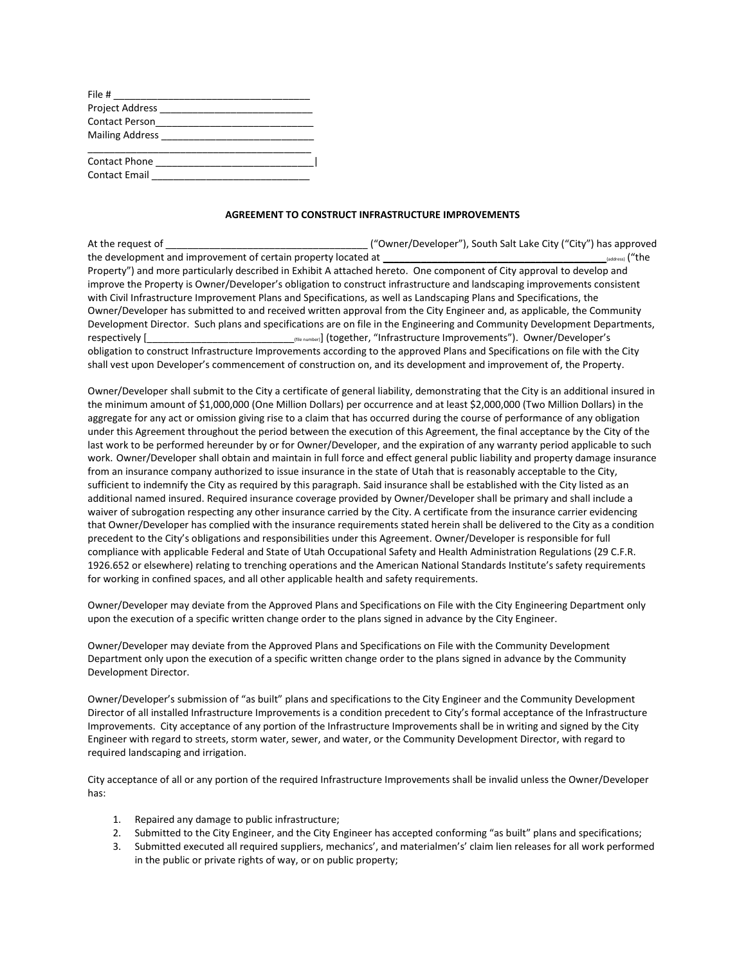| File #                |  |
|-----------------------|--|
| Project Address       |  |
| <b>Contact Person</b> |  |
| Mailing Address       |  |
|                       |  |
| <b>Contact Phone</b>  |  |
| <b>Contact Email</b>  |  |

## **AGREEMENT TO CONSTRUCT INFRASTRUCTURE IMPROVEMENTS**

| At the request of                                                                                                            | ("Owner/Developer"), South Salt Lake City ("City") has approved             |  |
|------------------------------------------------------------------------------------------------------------------------------|-----------------------------------------------------------------------------|--|
| the development and improvement of certain property located at                                                               | (address) ("the                                                             |  |
| Property") and more particularly described in Exhibit A attached hereto. One component of City approval to develop and       |                                                                             |  |
| improve the Property is Owner/Developer's obligation to construct infrastructure and landscaping improvements consistent     |                                                                             |  |
| with Civil Infrastructure Improvement Plans and Specifications, as well as Landscaping Plans and Specifications, the         |                                                                             |  |
| Owner/Developer has submitted to and received written approval from the City Engineer and, as applicable, the Community      |                                                                             |  |
| Development Director. Such plans and specifications are on file in the Engineering and Community Development Departments,    |                                                                             |  |
| respectively [                                                                                                               | (file number)] (together, "Infrastructure Improvements"). Owner/Developer's |  |
| obligation to construct Infrastructure Improvements according to the approved Plans and Specifications on file with the City |                                                                             |  |
| shall vest upon Developer's commencement of construction on, and its development and improvement of, the Property.           |                                                                             |  |

Owner/Developer shall submit to the City a certificate of general liability, demonstrating that the City is an additional insured in the minimum amount of \$1,000,000 (One Million Dollars) per occurrence and at least \$2,000,000 (Two Million Dollars) in the aggregate for any act or omission giving rise to a claim that has occurred during the course of performance of any obligation under this Agreement throughout the period between the execution of this Agreement, the final acceptance by the City of the last work to be performed hereunder by or for Owner/Developer, and the expiration of any warranty period applicable to such work. Owner/Developer shall obtain and maintain in full force and effect general public liability and property damage insurance from an insurance company authorized to issue insurance in the state of Utah that is reasonably acceptable to the City, sufficient to indemnify the City as required by this paragraph. Said insurance shall be established with the City listed as an additional named insured. Required insurance coverage provided by Owner/Developer shall be primary and shall include a waiver of subrogation respecting any other insurance carried by the City. A certificate from the insurance carrier evidencing that Owner/Developer has complied with the insurance requirements stated herein shall be delivered to the City as a condition precedent to the City's obligations and responsibilities under this Agreement. Owner/Developer is responsible for full compliance with applicable Federal and State of Utah Occupational Safety and Health Administration Regulations (29 C.F.R. 1926.652 or elsewhere) relating to trenching operations and the American National Standards Institute's safety requirements for working in confined spaces, and all other applicable health and safety requirements.

Owner/Developer may deviate from the Approved Plans and Specifications on File with the City Engineering Department only upon the execution of a specific written change order to the plans signed in advance by the City Engineer.

Owner/Developer may deviate from the Approved Plans and Specifications on File with the Community Development Department only upon the execution of a specific written change order to the plans signed in advance by the Community Development Director.

Owner/Developer's submission of "as built" plans and specifications to the City Engineer and the Community Development Director of all installed Infrastructure Improvements is a condition precedent to City's formal acceptance of the Infrastructure Improvements. City acceptance of any portion of the Infrastructure Improvements shall be in writing and signed by the City Engineer with regard to streets, storm water, sewer, and water, or the Community Development Director, with regard to required landscaping and irrigation.

City acceptance of all or any portion of the required Infrastructure Improvements shall be invalid unless the Owner/Developer has:

- 1. Repaired any damage to public infrastructure;
- 2. Submitted to the City Engineer, and the City Engineer has accepted conforming "as built" plans and specifications;
- 3. Submitted executed all required suppliers, mechanics', and materialmen's' claim lien releases for all work performed in the public or private rights of way, or on public property;